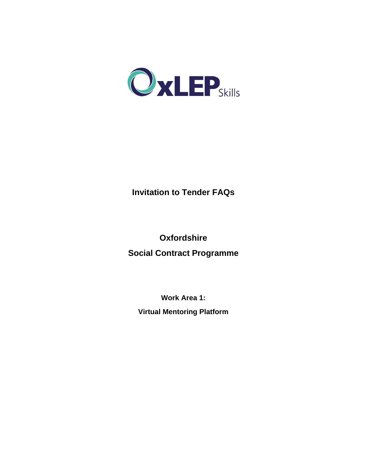

# **Invitation to Tender FAQs**

**Oxfordshire Social Contract Programme**

**Work Area 1: Virtual Mentoring Platform**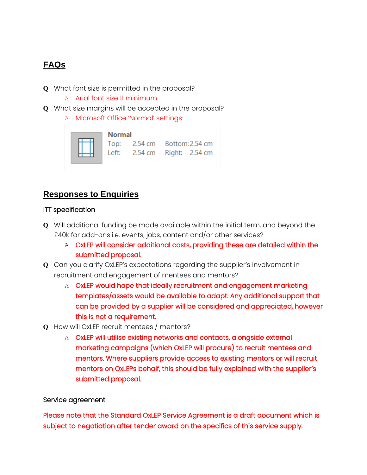# **FAQs**

- **Q** What font size is permitted in the proposal?
	- A Arial font size 11 minimum
- **Q** What size margins will be accepted in the proposal?
	- A Microsoft Office 'Normal' settings:



## **Responses to Enquiries**

#### ITT specification

- **Q** Will additional funding be made available within the initial term, and beyond the £40k for add-ons i.e. events, jobs, content and/or other services?
	- A OxLEP will consider additional costs, providing these are detailed within the submitted proposal.
- **Q** Can you clarify OxLEP's expectations regarding the supplier's involvement in recruitment and engagement of mentees and mentors?
	- A OxLEP would hope that ideally recruitment and engagement marketing templates/assets would be available to adapt. Any additional support that can be provided by a supplier will be considered and appreciated, however this is not a requirement.
- **Q** How will OxLEP recruit mentees / mentors?
	- A OxLEP will utilise existing networks and contacts, alongside external marketing campaigns (which OxLEP will procure) to recruit mentees and mentors. Where suppliers provide access to existing mentors or will recruit mentors on OxLEPs behalf, this should be fully explained with the supplier's submitted proposal.

### Service agreement

Please note that the Standard OxLEP Service Agreement is a draft document which is subject to negotiation after tender award on the specifics of this service supply.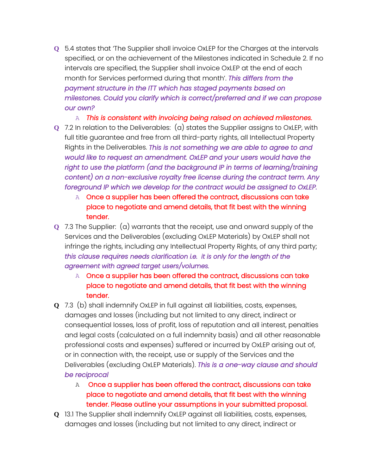**Q** 5.4 states that 'The Supplier shall invoice OxLEP for the Charges at the intervals specified, or on the achievement of the Milestones indicated in Schedule 2. If no intervals are specified, the Supplier shall invoice OxLEP at the end of each month for Services performed during that month'. *This differs from the payment structure in the ITT which has staged payments based on milestones. Could you clarify which is correct/preferred and if we can propose our own?*

A *This is consistent with invoicing being raised on achieved milestones.*

- **Q** 7.2 In relation to the Deliverables: (a) states the Supplier assigns to OxLEP, with full title guarantee and free from all third-party rights, all Intellectual Property Rights in the Deliverables. *This is not something we are able to agree to and would like to request an amendment. OxLEP and your users would have the*  right to use the platform (and the background IP in terms of learning/training *content) on a non-exclusive royalty free license during the contract term. Any foreground IP which we develop for the contract would be assigned to OxLEP.* 
	- A Once a supplier has been offered the contract, discussions can take place to negotiate and amend details, that fit best with the winning tender.
- **Q** 7.3 The Supplier: (a) warrants that the receipt, use and onward supply of the Services and the Deliverables (excluding OxLEP Materials) by OxLEP shall not infringe the rights, including any Intellectual Property Rights, of any third party; *this clause requires needs clarification i.e. it is only for the length of the agreement with agreed target users/volumes.*
	- A Once a supplier has been offered the contract, discussions can take place to negotiate and amend details, that fit best with the winning tender.
- **Q** 7.3 (b) shall indemnify OxLEP in full against all liabilities, costs, expenses, damages and losses (including but not limited to any direct, indirect or consequential losses, loss of profit, loss of reputation and all interest, penalties and legal costs (calculated on a full indemnity basis) and all other reasonable professional costs and expenses) suffered or incurred by OxLEP arising out of, or in connection with, the receipt, use or supply of the Services and the Deliverables (excluding OxLEP Materials). *This is a one-way clause and should be reciprocal*
	- AOnce a supplier has been offered the contract, discussions can take place to negotiate and amend details, that fit best with the winning tender. Please outline your assumptions in your submitted proposal.
- **Q** 13.1 The Supplier shall indemnify OxLEP against all liabilities, costs, expenses, damages and losses (including but not limited to any direct, indirect or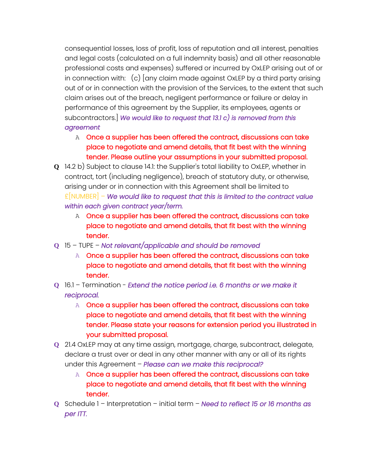consequential losses, loss of profit, loss of reputation and all interest, penalties and legal costs (calculated on a full indemnity basis) and all other reasonable professional costs and expenses) suffered or incurred by OxLEP arising out of or in connection with: (c) [any claim made against OxLEP by a third party arising out of or in connection with the provision of the Services, to the extent that such claim arises out of the breach, negligent performance or failure or delay in performance of this agreement by the Supplier, its employees, agents or subcontractors.] *We would like to request that 13.1 c) is removed from this agreement*

- A Once a supplier has been offered the contract, discussions can take place to negotiate and amend details, that fit best with the winning tender. Please outline your assumptions in your submitted proposal.
- **Q** 14.2 b) Subject to clause 14.1: the Supplier's total liability to OxLEP, whether in contract, tort (including negligence), breach of statutory duty, or otherwise, arising under or in connection with this Agreement shall be limited to £[NUMBER] – *We would like to request that this is limited to the contract value within each given contract year/term.*
	- A Once a supplier has been offered the contract, discussions can take place to negotiate and amend details, that fit best with the winning tender.
- **Q** 15 TUPE *Not relevant/applicable and should be removed*
	- A Once a supplier has been offered the contract, discussions can take place to negotiate and amend details, that fit best with the winning tender.
- **Q** 16.1 Termination *Extend the notice period i.e. 6 months or we make it reciprocal.*
	- A Once a supplier has been offered the contract, discussions can take place to negotiate and amend details, that fit best with the winning tender. Please state your reasons for extension period you illustrated in your submitted proposal.
- **Q** 21.4 OxLEP may at any time assign, mortgage, charge, subcontract, delegate, declare a trust over or deal in any other manner with any or all of its rights under this Agreement – *Please can we make this reciprocal?*
	- A Once a supplier has been offered the contract, discussions can take place to negotiate and amend details, that fit best with the winning tender.
- **Q** Schedule 1 Interpretation initial term *Need to reflect 15 or 16 months as per ITT.*